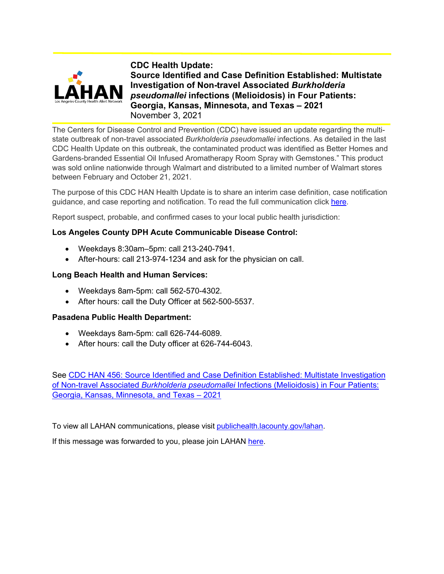

**CDC Health Update: Source Identified and Case Definition Established: Multistate Investigation of Non-travel Associated** *Burkholderia pseudomallei* **infections (Melioidosis) in Four Patients: Georgia, Kansas, Minnesota, and Texas – 2021**  November 3, 2021

The Centers for Disease Control and Prevention (CDC) have issued an update regarding the multistate outbreak of non-travel associated *Burkholderia pseudomallei* infections. As detailed in the last CDC Health Update on this outbreak, the contaminated product was identified as Better Homes and Gardens-branded Essential Oil Infused Aromatherapy Room Spray with Gemstones." This product was sold online nationwide through Walmart and distributed to a limited number of Walmart stores between February and October 21, 2021.

The purpose of this CDC HAN Health Update is to share an interim case definition, case notification guidance, and case reporting and notification. To read the full communication click [here.](https://emergency.cdc.gov/han/2021/pdf/CDC_HAN_456.pdf)

Report suspect, probable, and confirmed cases to your local public health jurisdiction:

# **Los Angeles County DPH Acute Communicable Disease Control:**

- Weekdays 8:30am–5pm: call 213-240-7941.
- After-hours: call 213-974-1234 and ask for the physician on call.

# **Long Beach Health and Human Services:**

- Weekdays 8am-5pm: call 562-570-4302.
- After hours: call the Duty Officer at 562-500-5537.

# **Pasadena Public Health Department:**

- Weekdays 8am-5pm: call 626-744-6089.
- After hours: call the Duty officer at 626-744-6043.

See CDC HAN 456: Source Identified and [Case Definition Established: Multistate Investigation](https://emergency.cdc.gov/han/2021/han00456.asp)  of Non-travel Associated *Burkholderia pseudomallei* [Infections \(Melioidosis\) in Four Patients:](https://emergency.cdc.gov/han/2021/han00456.asp)  [Georgia, Kansas, Minnesota, and Texas –](https://emergency.cdc.gov/han/2021/han00456.asp) 2021

To view all LAHAN communications, please visit [publichealth.lacounty.gov/lahan.](http://publichealth.lacounty.gov/lahan)

If this message was forwarded to you, please join LAHAN [here.](http://publichealth.lacounty.gov/eprp/LAHAN/lahan.htm)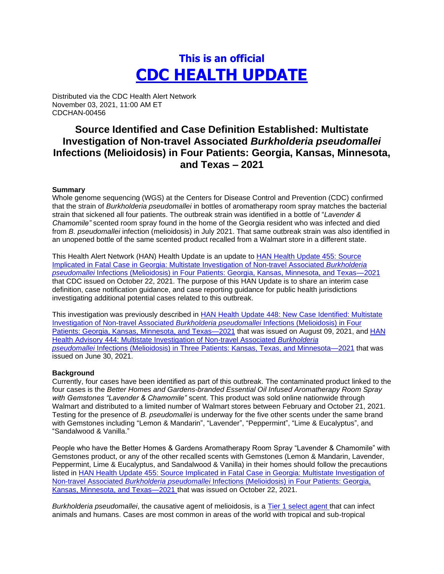# **This is an official CDC HEALTH UPDATE**

Distributed via the CDC Health Alert Network November 03, 2021, 11:00 AM ET CDCHAN-00456

# **Source Identified and Case Definition Established: Multistate Investigation of Non-travel Associated** *Burkholderia pseudomallei* **Infections (Melioidosis) in Four Patients: Georgia, Kansas, Minnesota, and Texas – 2021**

# **Summary**

Whole genome sequencing (WGS) at the Centers for Disease Control and Prevention (CDC) confirmed that the strain of *Burkholderia pseudomallei* in bottles of aromatherapy room spray matches the bacterial strain that sickened all four patients. The outbreak strain was identified in a bottle of "*Lavender & Chamomile"* scented room spray found in the home of the Georgia resident who was infected and died from *B. pseudomallei* infection (melioidosis) in July 2021. That same outbreak strain was also identified in an unopened bottle of the same scented product recalled from a Walmart store in a different state.

This Health Alert Network (HAN) Health Update is an update to [HAN Health Update 455: Source](https://emergency.cdc.gov/han/2021/han00455.asp)  [Implicated in Fatal Case in Georgia: Multistate Investigation of Non-travel Associated](https://emergency.cdc.gov/han/2021/han00455.asp) *Burkholderia pseudomallei* [Infections \(Melioidosis\) in Four Patients: Georgia, Kansas, Minnesota, and Texas—2021](https://emergency.cdc.gov/han/2021/han00455.asp) that CDC issued on October 22, 2021. The purpose of this HAN Update is to share an interim case definition, case notification guidance, and case reporting guidance for public health jurisdictions investigating additional potential cases related to this outbreak.

This investigation was previously described in [HAN Health Update 448: New Case Identified: Multistate](https://emergency.cdc.gov/han/2021/han00448.asp)  [Investigation of Non-travel Associated](https://emergency.cdc.gov/han/2021/han00448.asp) *Burkholderia pseudomallei* Infections (Melioidosis) in Four [Patients: Georgia, Kansas, Minnesota, and](https://emergency.cdc.gov/han/2021/han00448.asp) Texas-2021 that was issued on August 09, 2021, and HAN [Health Advisory 444: Multistate Investigation of Non-travel Associated](https://emergency.cdc.gov/han/2021/han00444.asp) *Burkholderia pseudomallei* [Infections \(Melioidosis\) in Three Patients: Kansas, Texas, and Minnesota—2021](https://emergency.cdc.gov/han/2021/han00444.asp) that was issued on June 30, 2021.

# **Background**

Currently, four cases have been identified as part of this outbreak. The contaminated product linked to the four cases is the *Better Homes and Gardens-branded Essential Oil Infused Aromatherapy Room Spray with Gemstones "Lavender & Chamomile"* scent. This product was sold online nationwide through Walmart and distributed to a limited number of Walmart stores between February and October 21, 2021. Testing for the presence of *B. pseudomallei* is underway for the five other scents under the same brand with Gemstones including "Lemon & Mandarin", "Lavender", "Peppermint", "Lime & Eucalyptus", and "Sandalwood & Vanilla."

People who have the Better Homes & Gardens Aromatherapy Room Spray "Lavender & Chamomile" with Gemstones product, or any of the other recalled scents with Gemstones (Lemon & Mandarin, Lavender, Peppermint, Lime & Eucalyptus, and Sandalwood & Vanilla) in their homes should follow the precautions listed in [HAN Health Update 455: Source Implicated in Fatal Case in Georgia: Multistate Investigation of](https://emergency.cdc.gov/han/2021/han00455.asp)  Non-travel Associated *Burkholderia pseudomallei* [Infections \(Melioidosis\) in Four Patients: Georgia,](https://emergency.cdc.gov/han/2021/han00455.asp) [Kansas, Minnesota, and Texas—2021](https://emergency.cdc.gov/han/2021/han00455.asp) that was issued on October 22, 2021.

*Burkholderia pseudomallei*, the causative agent of melioidosis, is a [Tier 1 select agent](https://www.selectagents.gov/compliance/guidance/security-plan/section11f.htm) that can infect animals and humans. Cases are most common in areas of the world with tropical and sub-tropical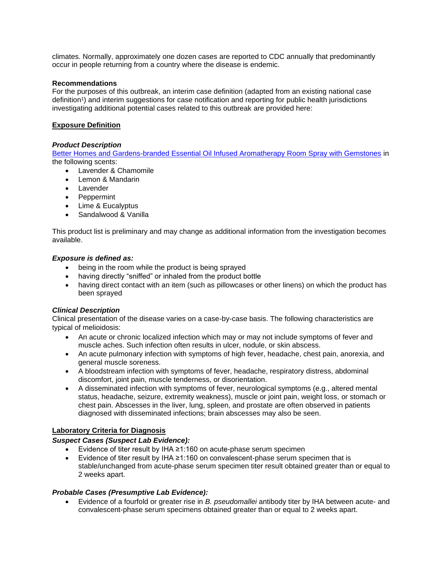climates. Normally, approximately one dozen cases are reported to CDC annually that predominantly occur in people returning from a country where the disease is endemic.

# **Recommendations**

For the purposes of this outbreak, an interim case definition (adapted from an existing national case definition<sup>1</sup>) and interim suggestions for case notification and reporting for public health jurisdictions investigating additional potential cases related to this outbreak are provided here:

# **Exposure Definition**

# *Product Description*

[Better Homes and Gardens-branded Essential Oil Infused Aromatherapy Room Spray with Gemstones](https://www.cpsc.gov/Recalls/2022/Walmart-Recalls-Better-Homes-and-Gardens-Essential-Oil-Infused-Aromatherapy-Room-Spray-with-Gemstones-Due-to-Rare-and-Dangerous-Bacteria-Two-Deaths-Investigated) in the following scents:

- Lavender & Chamomile
- Lemon & Mandarin
- Lavender
- Peppermint
- Lime & Eucalyptus
- Sandalwood & Vanilla

This product list is preliminary and may change as additional information from the investigation becomes available.

# *Exposure is defined as:*

- being in the room while the product is being sprayed
- having directly "sniffed" or inhaled from the product bottle
- having direct contact with an item (such as pillowcases or other linens) on which the product has been sprayed

# *Clinical Description*

Clinical presentation of the disease varies on a case-by-case basis. The following characteristics are typical of melioidosis:

- An acute or chronic localized infection which may or may not include symptoms of fever and muscle aches. Such infection often results in ulcer, nodule, or skin abscess.
- An acute pulmonary infection with symptoms of high fever, headache, chest pain, anorexia, and general muscle soreness.
- A bloodstream infection with symptoms of fever, headache, respiratory distress, abdominal discomfort, joint pain, muscle tenderness, or disorientation.
- A disseminated infection with symptoms of fever, neurological symptoms (e.g., altered mental status, headache, seizure, extremity weakness), muscle or joint pain, weight loss, or stomach or chest pain. Abscesses in the liver, lung, spleen, and prostate are often observed in patients diagnosed with disseminated infections; brain abscesses may also be seen.

# **Laboratory Criteria for Diagnosis**

# *Suspect Cases (Suspect Lab Evidence):*

- Evidence of titer result by IHA ≥1:160 on acute-phase serum specimen
- Evidence of titer result by IHA ≥1:160 on convalescent-phase serum specimen that is stable/unchanged from acute-phase serum specimen titer result obtained greater than or equal to 2 weeks apart.

# *Probable Cases (Presumptive Lab Evidence):*

• Evidence of a fourfold or greater rise in *B. pseudomallei* antibody titer by IHA between acute- and convalescent-phase serum specimens obtained greater than or equal to 2 weeks apart.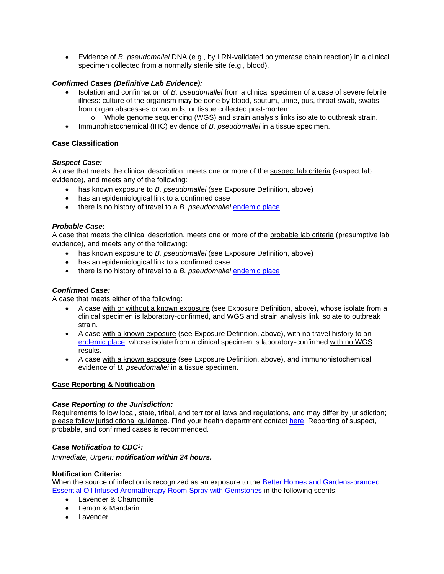• Evidence of *B. pseudomallei* DNA (e.g., by LRN-validated polymerase chain reaction) in a clinical specimen collected from a normally sterile site (e.g., blood).

# *Confirmed Cases (Definitive Lab Evidence):*

- Isolation and confirmation of *B. pseudomallei* from a clinical specimen of a case of severe febrile illness: culture of the organism may be done by blood, sputum, urine, pus, throat swab, swabs from organ abscesses or wounds, or tissue collected post-mortem.
	- o Whole genome sequencing (WGS) and strain analysis links isolate to outbreak strain.
- Immunohistochemical (IHC) evidence of *B. pseudomallei* in a tissue specimen.

# **Case Classification**

# *Suspect Case:*

A case that meets the clinical description, meets one or more of the suspect lab criteria (suspect lab evidence), and meets any of the following:

- has known exposure to *B. pseudomallei* (see Exposure Definition, above)
- has an epidemiological link to a confirmed case
- there is no history of travel to a *B. pseudomallei* [endemic place](https://www.cdc.gov/melioidosis/exposure/index.html)

# *Probable Case:*

A case that meets the clinical description, meets one or more of the probable lab criteria (presumptive lab evidence), and meets any of the following:

- has known exposure to *B. pseudomallei* (see Exposure Definition, above)
- has an epidemiological link to a confirmed case
- there is no history of travel to a *B. pseudomallei* [endemic place](https://www.cdc.gov/melioidosis/exposure/index.html)

# *Confirmed Case:*

A case that meets either of the following:

- A case with or without a known exposure (see Exposure Definition, above), whose isolate from a clinical specimen is laboratory-confirmed, and WGS and strain analysis link isolate to outbreak strain.
- A case with a known exposure (see Exposure Definition, above), with no travel history to an [endemic place,](https://www.cdc.gov/melioidosis/exposure/index.html) whose isolate from a clinical specimen is laboratory-confirmed with no WGS results.
- A case with a known exposure (see Exposure Definition, above), and immunohistochemical evidence of *B. pseudomallei* in a tissue specimen.

# **Case Reporting & Notification**

# *Case Reporting to the Jurisdiction:*

Requirements follow local, state, tribal, and territorial laws and regulations, and may differ by jurisdiction; please follow jurisdictional guidance. Find your health department contact [here.](https://www.cdc.gov/publichealthgateway/healthdirectories/index.html) Reporting of suspect, probable, and confirmed cases is recommended.

# *Case Notification to CDC*<sup>2</sup> *:*

*Immediate, Urgent: notification within 24 hours.*

# **Notification Criteria:**

When the source of infection is recognized as an exposure to the [Better Homes and Gardens-branded](https://www.cpsc.gov/Recalls/2022/Walmart-Recalls-Better-Homes-and-Gardens-Essential-Oil-Infused-Aromatherapy-Room-Spray-with-Gemstones-Due-to-Rare-and-Dangerous-Bacteria-Two-Deaths-Investigated)  [Essential Oil Infused Aromatherapy Room Spray with Gemstones](https://www.cpsc.gov/Recalls/2022/Walmart-Recalls-Better-Homes-and-Gardens-Essential-Oil-Infused-Aromatherapy-Room-Spray-with-Gemstones-Due-to-Rare-and-Dangerous-Bacteria-Two-Deaths-Investigated) in the following scents:

- Lavender & Chamomile
- Lemon & Mandarin
- Lavender